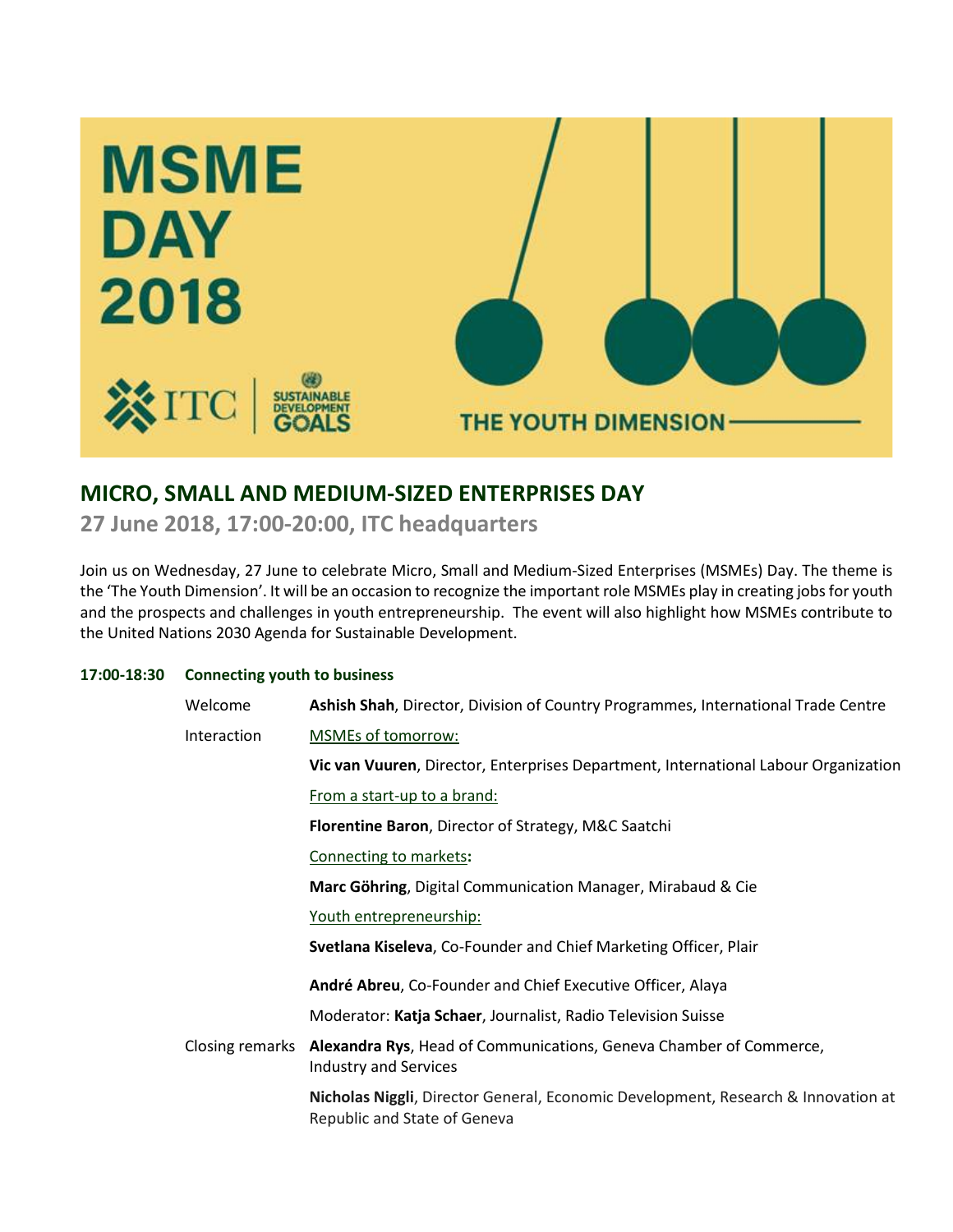

# **MICRO, SMALL AND MEDIUM-SIZED ENTERPRISES DAY**

**27 June 2018, 17:00-20:00, ITC headquarters**

Join us on Wednesday, 27 June to celebrate Micro, Small and Medium-Sized Enterprises (MSMEs) Day. The theme is the 'The Youth Dimension'. It will be an occasion to recognize the important role MSMEs play in creating jobs for youth and the prospects and challenges in youth entrepreneurship. The event will also highlight how MSMEs contribute to the United Nations 2030 Agenda for Sustainable Development.

## **17:00-18:30 Connecting youth to business**

| Welcome         | Ashish Shah, Director, Division of Country Programmes, International Trade Centre                                 |
|-----------------|-------------------------------------------------------------------------------------------------------------------|
| Interaction     | MSMEs of tomorrow:                                                                                                |
|                 | Vic van Vuuren, Director, Enterprises Department, International Labour Organization                               |
|                 | From a start-up to a brand:                                                                                       |
|                 | Florentine Baron, Director of Strategy, M&C Saatchi                                                               |
|                 | Connecting to markets:                                                                                            |
|                 | Marc Göhring, Digital Communication Manager, Mirabaud & Cie                                                       |
|                 | Youth entrepreneurship:                                                                                           |
|                 | Svetlana Kiseleva, Co-Founder and Chief Marketing Officer, Plair                                                  |
|                 | André Abreu, Co-Founder and Chief Executive Officer, Alaya                                                        |
|                 | Moderator: Katja Schaer, Journalist, Radio Television Suisse                                                      |
| Closing remarks | Alexandra Rys, Head of Communications, Geneva Chamber of Commerce,<br><b>Industry and Services</b>                |
|                 | Nicholas Niggli, Director General, Economic Development, Research & Innovation at<br>Republic and State of Geneva |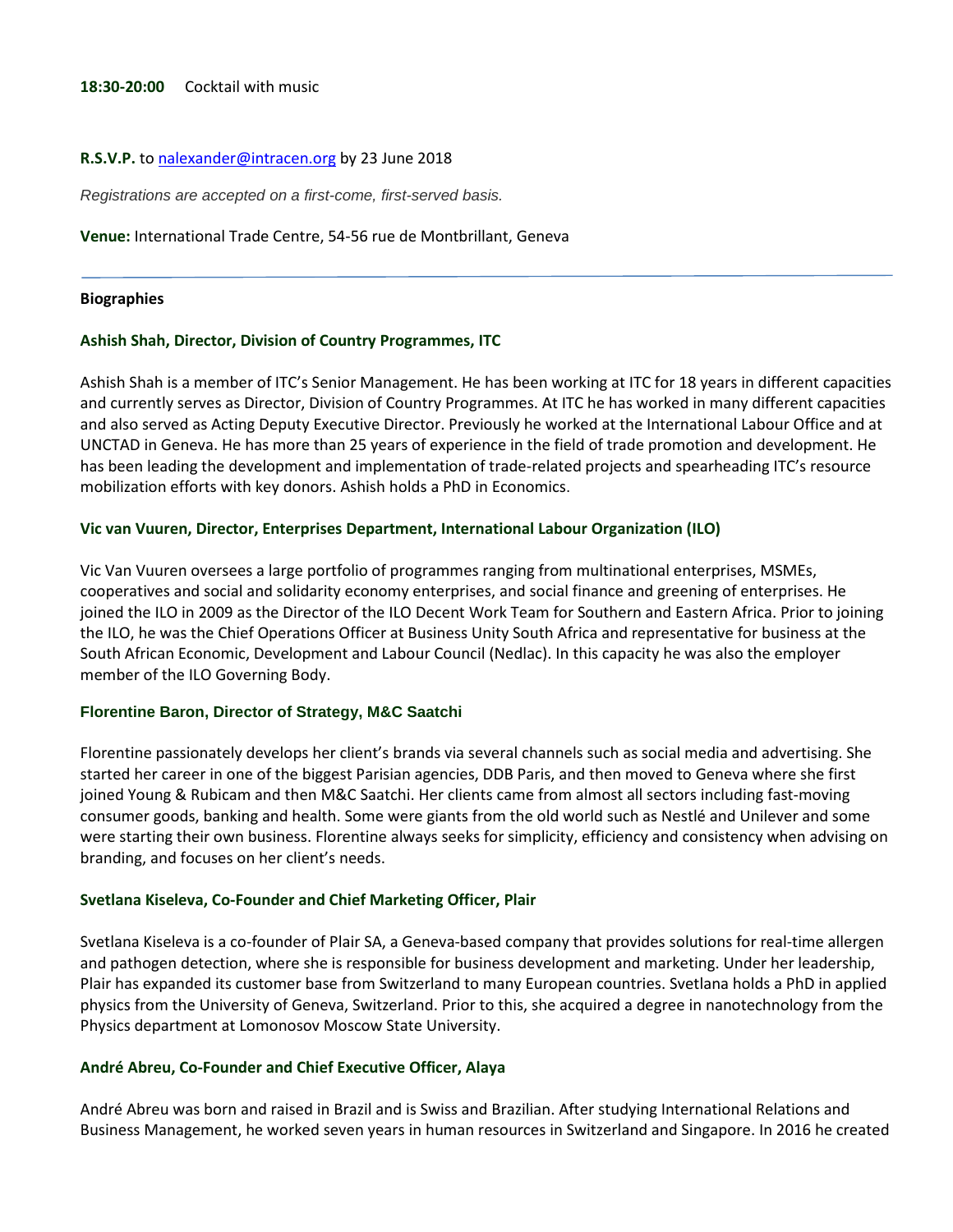#### R.S.V.P. t[o nalexander@intracen.org](mailto:nalexander@intracen.org) by 23 June 2018

*Registrations are accepted on a first-come, first-served basis.*

**Venue:** International Trade Centre, 54-56 rue de Montbrillant, Geneva

#### **Biographies**

#### **Ashish Shah, Director, Division of Country Programmes, ITC**

Ashish Shah is a member of ITC's Senior Management. He has been working at ITC for 18 years in different capacities and currently serves as Director, Division of Country Programmes. At ITC he has worked in many different capacities and also served as Acting Deputy Executive Director. Previously he worked at the International Labour Office and at UNCTAD in Geneva. He has more than 25 years of experience in the field of trade promotion and development. He has been leading the development and implementation of trade-related projects and spearheading ITC's resource mobilization efforts with key donors. Ashish holds a PhD in Economics.

### **Vic van Vuuren, Director, Enterprises Department, International Labour Organization (ILO)**

Vic Van Vuuren oversees a large portfolio of programmes ranging from multinational enterprises, MSMEs, cooperatives and social and solidarity economy enterprises, and social finance and greening of enterprises. He joined the ILO in 2009 as the Director of the ILO Decent Work Team for Southern and Eastern Africa. Prior to joining the ILO, he was the Chief Operations Officer at Business Unity South Africa and representative for business at the South African Economic, Development and Labour Council (Nedlac). In this capacity he was also the employer member of the ILO Governing Body.

#### **Florentine Baron, Director of Strategy, M&C Saatchi**

Florentine passionately develops her client's brands via several channels such as social media and advertising. She started her career in one of the biggest Parisian agencies, DDB Paris, and then moved to Geneva where she first joined Young & Rubicam and then M&C Saatchi. Her clients came from almost all sectors including fast-moving consumer goods, banking and health. Some were giants from the old world such as Nestlé and Unilever and some were starting their own business. Florentine always seeks for simplicity, efficiency and consistency when advising on branding, and focuses on her client's needs.

#### **Svetlana Kiseleva, Co-Founder and Chief Marketing Officer, Plair**

Svetlana Kiseleva is a co-founder of Plair SA, a Geneva-based company that provides solutions for real-time allergen and pathogen detection, where she is responsible for business development and marketing. Under her leadership, Plair has expanded its customer base from Switzerland to many European countries. Svetlana holds a PhD in applied physics from the University of Geneva, Switzerland. Prior to this, she acquired a degree in nanotechnology from the Physics department at Lomonosov Moscow State University.

#### **André Abreu, Co-Founder and Chief Executive Officer, Alaya**

André Abreu was born and raised in Brazil and is Swiss and Brazilian. After studying International Relations and Business Management, he worked seven years in human resources in Switzerland and Singapore. In 2016 he created